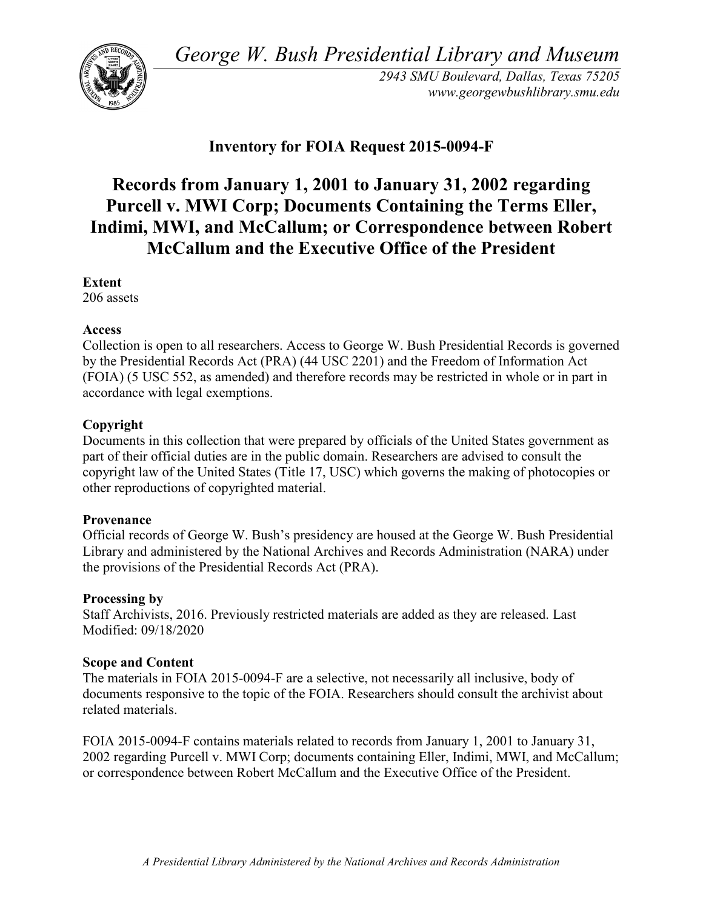*George W. Bush Presidential Library and Museum* 



 *2943 SMU Boulevard, Dallas, Texas 75205 <www.georgewbushlibrary.smu.edu>*

## **Inventory for FOIA Request 2015-0094-F**

# **Purcell v. MWI Corp; Documents Containing the Terms Eller, Records from January 1, 2001 to January 31, 2002 regarding Indimi, MWI, and McCallum; or Correspondence between Robert McCallum and the Executive Office of the President**

#### **Extent**

206 assets

### **Access**

 by the Presidential Records Act (PRA) (44 USC 2201) and the Freedom of Information Act Collection is open to all researchers. Access to George W. Bush Presidential Records is governed (FOIA) (5 USC 552, as amended) and therefore records may be restricted in whole or in part in accordance with legal exemptions.

### **Copyright**

 Documents in this collection that were prepared by officials of the United States government as part of their official duties are in the public domain. Researchers are advised to consult the copyright law of the United States (Title 17, USC) which governs the making of photocopies or other reproductions of copyrighted material.

### **Provenance**

 Official records of George W. Bush's presidency are housed at the George W. Bush Presidential Library and administered by the National Archives and Records Administration (NARA) under the provisions of the Presidential Records Act (PRA).

### **Processing by**

Staff Archivists, 2016. Previously restricted materials are added as they are released. Last Modified: 09/18/2020

### **Scope and Content**

The materials in FOIA 2015-0094-F are a selective, not necessarily all inclusive, body of documents responsive to the topic of the FOIA. Researchers should consult the archivist about related materials.

FOIA 2015-0094-F contains materials related to records from January 1, 2001 to January 31, 2002 regarding Purcell v. MWI Corp; documents containing Eller, Indimi, MWI, and McCallum; or correspondence between Robert McCallum and the Executive Office of the President.